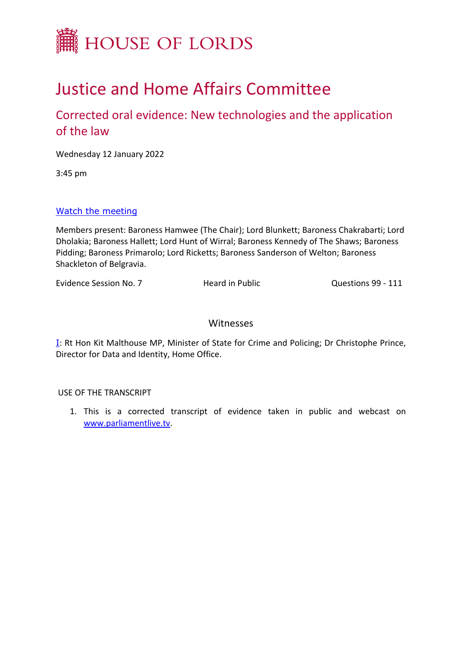

# Justice and Home Affairs Committee

# Corrected oral evidence: New technologies and the application of the law

Wednesday 12 January 2022

3:45 pm

# [Watch](https://parliamentlive.tv/event/index/af3f9cd6-3bbc-447a-82ad-0c5a03f1229f) [the](https://parliamentlive.tv/event/index/af3f9cd6-3bbc-447a-82ad-0c5a03f1229f) [meeting](https://parliamentlive.tv/event/index/af3f9cd6-3bbc-447a-82ad-0c5a03f1229f)

Members present: Baroness Hamwee (The Chair); Lord Blunkett; Baroness Chakrabarti; Lord Dholakia; Baroness Hallett; Lord Hunt of Wirral; Baroness Kennedy of The Shaws; Baroness Pidding; Baroness Primarolo; Lord Ricketts; Baroness Sanderson of Welton; Baroness Shackleton of Belgravia.

Evidence Session No. 7 Heard in Public Questions 99 - 111

# Witnesses

 $I$ : Rt Hon Kit Malthouse MP, Minister of State for Crime and Policing; Dr Christophe Prince, Director for Data and Identity, Home Office.

# USE OF THE TRANSCRIPT

1. This is a corrected transcript of evidence taken in public and webcast on [www.parliamentlive.tv.](http://www.parliamentlive.tv/)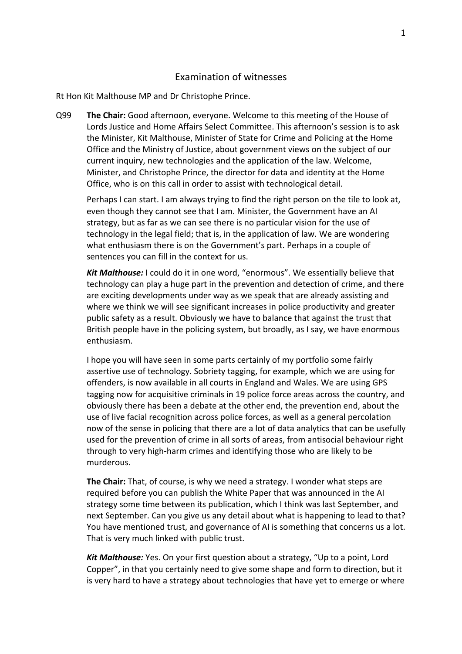# <span id="page-1-0"></span>Examination of witnesses

Rt Hon Kit Malthouse MP and Dr Christophe Prince.

Q99 **The Chair:** Good afternoon, everyone. Welcome to this meeting of the House of Lords Justice and Home Affairs Select Committee. This afternoon's session is to ask the Minister, Kit Malthouse, Minister of State for Crime and Policing at the Home Office and the Ministry of Justice, about government views on the subject of our current inquiry, new technologies and the application of the law. Welcome, Minister, and Christophe Prince, the director for data and identity at the Home Office, who is on this call in order to assist with technological detail.

Perhaps I can start. I am always trying to find the right person on the tile to look at, even though they cannot see that I am. Minister, the Government have an AI strategy, but as far as we can see there is no particular vision for the use of technology in the legal field; that is, in the application of law. We are wondering what enthusiasm there is on the Government's part. Perhaps in a couple of sentences you can fill in the context for us.

*Kit Malthouse:* I could do it in one word, "enormous". We essentially believe that technology can play a huge part in the prevention and detection of crime, and there are exciting developments under way as we speak that are already assisting and where we think we will see significant increases in police productivity and greater public safety as a result. Obviously we have to balance that against the trust that British people have in the policing system, but broadly, as I say, we have enormous enthusiasm.

I hope you will have seen in some parts certainly of my portfolio some fairly assertive use of technology. Sobriety tagging, for example, which we are using for offenders, is now available in all courts in England and Wales. We are using GPS tagging now for acquisitive criminals in 19 police force areas across the country, and obviously there has been a debate at the other end, the prevention end, about the use of live facial recognition across police forces, as well as a general percolation now of the sense in policing that there are a lot of data analytics that can be usefully used for the prevention of crime in all sorts of areas, from antisocial behaviour right through to very high-harm crimes and identifying those who are likely to be murderous.

**The Chair:** That, of course, is why we need a strategy. I wonder what steps are required before you can publish the White Paper that was announced in the AI strategy some time between its publication, which I think was last September, and next September. Can you give us any detail about what is happening to lead to that? You have mentioned trust, and governance of AI is something that concerns us a lot. That is very much linked with public trust.

*Kit Malthouse:* Yes. On your first question about a strategy, "Up to a point, Lord Copper", in that you certainly need to give some shape and form to direction, but it is very hard to have a strategy about technologies that have yet to emerge or where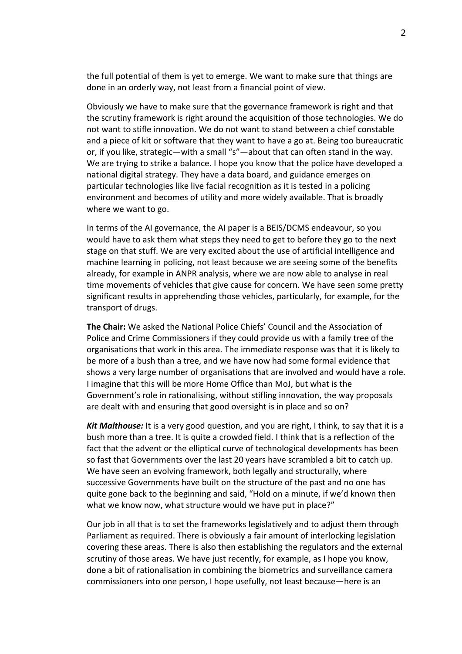the full potential of them is yet to emerge. We want to make sure that things are done in an orderly way, not least from a financial point of view.

Obviously we have to make sure that the governance framework is right and that the scrutiny framework is right around the acquisition of those technologies. We do not want to stifle innovation. We do not want to stand between a chief constable and a piece of kit or software that they want to have a go at. Being too bureaucratic or, if you like, strategic—with a small "s"—about that can often stand in the way. We are trying to strike a balance. I hope you know that the police have developed a national digital strategy. They have a data board, and guidance emerges on particular technologies like live facial recognition as it is tested in a policing environment and becomes of utility and more widely available. That is broadly where we want to go.

In terms of the AI governance, the AI paper is a BEIS/DCMS endeavour, so you would have to ask them what steps they need to get to before they go to the next stage on that stuff. We are very excited about the use of artificial intelligence and machine learning in policing, not least because we are seeing some of the benefits already, for example in ANPR analysis, where we are now able to analyse in real time movements of vehicles that give cause for concern. We have seen some pretty significant results in apprehending those vehicles, particularly, for example, for the transport of drugs.

**The Chair:** We asked the National Police Chiefs' Council and the Association of Police and Crime Commissioners if they could provide us with a family tree of the organisations that work in this area. The immediate response was that it is likely to be more of a bush than a tree, and we have now had some formal evidence that shows a very large number of organisations that are involved and would have a role. I imagine that this will be more Home Office than MoJ, but what is the Government's role in rationalising, without stifling innovation, the way proposals are dealt with and ensuring that good oversight is in place and so on?

*Kit Malthouse:* It is a very good question, and you are right, I think, to say that it is a bush more than a tree. It is quite a crowded field. I think that is a reflection of the fact that the advent or the elliptical curve of technological developments has been so fast that Governments over the last 20 years have scrambled a bit to catch up. We have seen an evolving framework, both legally and structurally, where successive Governments have built on the structure of the past and no one has quite gone back to the beginning and said, "Hold on a minute, if we'd known then what we know now, what structure would we have put in place?"

Our job in all that is to set the frameworks legislatively and to adjust them through Parliament as required. There is obviously a fair amount of interlocking legislation covering these areas. There is also then establishing the regulators and the external scrutiny of those areas. We have just recently, for example, as I hope you know, done a bit of rationalisation in combining the biometrics and surveillance camera commissioners into one person, I hope usefully, not least because—here is an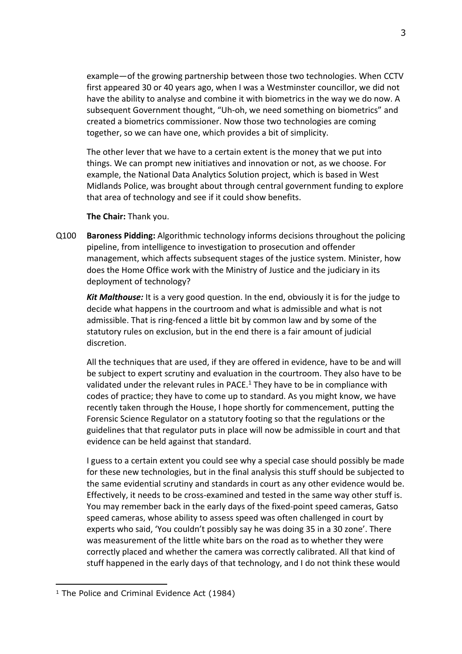example—of the growing partnership between those two technologies. When CCTV first appeared 30 or 40 years ago, when I was a Westminster councillor, we did not have the ability to analyse and combine it with biometrics in the way we do now. A subsequent Government thought, "Uh-oh, we need something on biometrics" and created a biometrics commissioner. Now those two technologies are coming together, so we can have one, which provides a bit of simplicity.

The other lever that we have to a certain extent is the money that we put into things. We can prompt new initiatives and innovation or not, as we choose. For example, the National Data Analytics Solution project, which is based in West Midlands Police, was brought about through central government funding to explore that area of technology and see if it could show benefits.

**The Chair:** Thank you.

Q100 **Baroness Pidding:** Algorithmic technology informs decisions throughout the policing pipeline, from intelligence to investigation to prosecution and offender management, which affects subsequent stages of the justice system. Minister, how does the Home Office work with the Ministry of Justice and the judiciary in its deployment of technology?

*Kit Malthouse:* It is a very good question. In the end, obviously it is for the judge to decide what happens in the courtroom and what is admissible and what is not admissible. That is ring-fenced a little bit by common law and by some of the statutory rules on exclusion, but in the end there is a fair amount of judicial discretion.

All the techniques that are used, if they are offered in evidence, have to be and will be subject to expert scrutiny and evaluation in the courtroom. They also have to be validated under the relevant rules in PACE.<sup>1</sup> They have to be in compliance with codes of practice; they have to come up to standard. As you might know, we have recently taken through the House, I hope shortly for commencement, putting the Forensic Science Regulator on a statutory footing so that the regulations or the guidelines that that regulator puts in place will now be admissible in court and that evidence can be held against that standard.

I guess to a certain extent you could see why a special case should possibly be made for these new technologies, but in the final analysis this stuff should be subjected to the same evidential scrutiny and standards in court as any other evidence would be. Effectively, it needs to be cross-examined and tested in the same way other stuff is. You may remember back in the early days of the fixed-point speed cameras, Gatso speed cameras, whose ability to assess speed was often challenged in court by experts who said, 'You couldn't possibly say he was doing 35 in a 30 zone'. There was measurement of the little white bars on the road as to whether they were correctly placed and whether the camera was correctly calibrated. All that kind of stuff happened in the early days of that technology, and I do not think these would

<sup>&</sup>lt;sup>1</sup> The Police and Criminal Evidence Act (1984)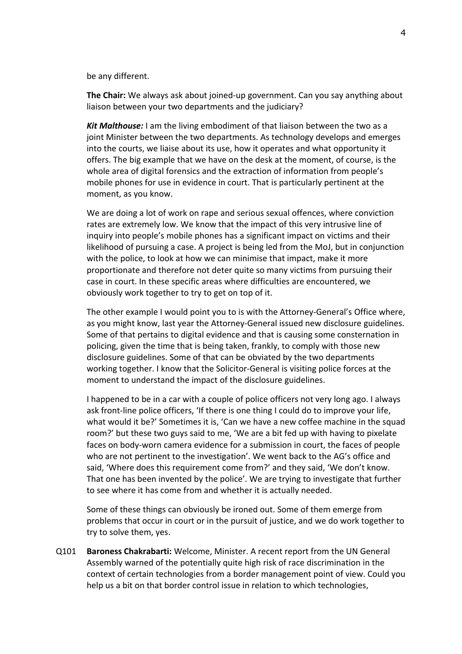be any different.

**The Chair:** We always ask about joined-up government. Can you say anything about liaison between your two departments and the judiciary?

*Kit Malthouse:* I am the living embodiment of that liaison between the two as a joint Minister between the two departments. As technology develops and emerges into the courts, we liaise about its use, how it operates and what opportunity it offers. The big example that we have on the desk at the moment, of course, is the whole area of digital forensics and the extraction of information from people's mobile phones for use in evidence in court. That is particularly pertinent at the moment, as you know.

We are doing a lot of work on rape and serious sexual offences, where conviction rates are extremely low. We know that the impact of this very intrusive line of inquiry into people's mobile phones has a significant impact on victims and their likelihood of pursuing a case. A project is being led from the MoJ, but in conjunction with the police, to look at how we can minimise that impact, make it more proportionate and therefore not deter quite so many victims from pursuing their case in court. In these specific areas where difficulties are encountered, we obviously work together to try to get on top of it.

The other example I would point you to is with the Attorney-General's Office where, as you might know, last year the Attorney-General issued new disclosure guidelines. Some of that pertains to digital evidence and that is causing some consternation in policing, given the time that is being taken, frankly, to comply with those new disclosure guidelines. Some of that can be obviated by the two departments working together. I know that the Solicitor-General is visiting police forces at the moment to understand the impact of the disclosure guidelines.

I happened to be in a car with a couple of police officers not very long ago. I always ask front-line police officers, 'If there is one thing I could do to improve your life, what would it be?' Sometimes it is, 'Can we have a new coffee machine in the squad room?' but these two guys said to me, 'We are a bit fed up with having to pixelate faces on body-worn camera evidence for a submission in court, the faces of people who are not pertinent to the investigation'. We went back to the AG's office and said, 'Where does this requirement come from?' and they said, 'We don't know. That one has been invented by the police'. We are trying to investigate that further to see where it has come from and whether it is actually needed.

Some of these things can obviously be ironed out. Some of them emerge from problems that occur in court or in the pursuit of justice, and we do work together to try to solve them, yes.

Q101 **Baroness Chakrabarti:** Welcome, Minister. A recent report from the UN General Assembly warned of the potentially quite high risk of race discrimination in the context of certain technologies from a border management point of view. Could you help us a bit on that border control issue in relation to which technologies,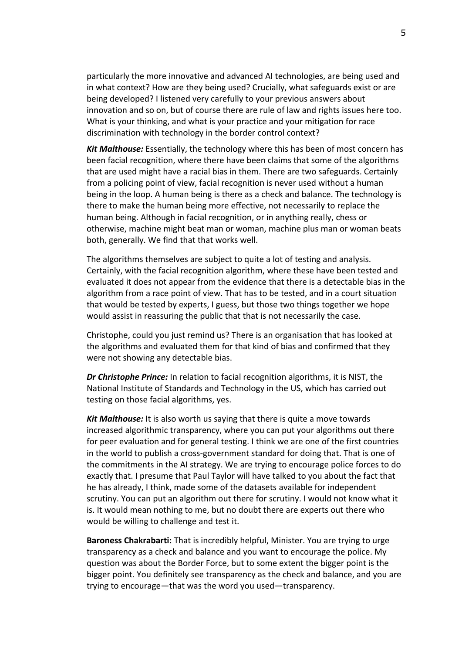particularly the more innovative and advanced AI technologies, are being used and in what context? How are they being used? Crucially, what safeguards exist or are being developed? I listened very carefully to your previous answers about innovation and so on, but of course there are rule of law and rights issues here too. What is your thinking, and what is your practice and your mitigation for race discrimination with technology in the border control context?

*Kit Malthouse:* Essentially, the technology where this has been of most concern has been facial recognition, where there have been claims that some of the algorithms that are used might have a racial bias in them. There are two safeguards. Certainly from a policing point of view, facial recognition is never used without a human being in the loop. A human being is there as a check and balance. The technology is there to make the human being more effective, not necessarily to replace the human being. Although in facial recognition, or in anything really, chess or otherwise, machine might beat man or woman, machine plus man or woman beats both, generally. We find that that works well.

The algorithms themselves are subject to quite a lot of testing and analysis. Certainly, with the facial recognition algorithm, where these have been tested and evaluated it does not appear from the evidence that there is a detectable bias in the algorithm from a race point of view. That has to be tested, and in a court situation that would be tested by experts, I guess, but those two things together we hope would assist in reassuring the public that that is not necessarily the case.

Christophe, could you just remind us? There is an organisation that has looked at the algorithms and evaluated them for that kind of bias and confirmed that they were not showing any detectable bias.

*Dr Christophe Prince:* In relation to facial recognition algorithms, it is NIST, the National Institute of Standards and Technology in the US, which has carried out testing on those facial algorithms, yes.

*Kit Malthouse:* It is also worth us saying that there is quite a move towards increased algorithmic transparency, where you can put your algorithms out there for peer evaluation and for general testing. I think we are one of the first countries in the world to publish a cross-government standard for doing that. That is one of the commitments in the AI strategy. We are trying to encourage police forces to do exactly that. I presume that Paul Taylor will have talked to you about the fact that he has already, I think, made some of the datasets available for independent scrutiny. You can put an algorithm out there for scrutiny. I would not know what it is. It would mean nothing to me, but no doubt there are experts out there who would be willing to challenge and test it.

**Baroness Chakrabarti:** That is incredibly helpful, Minister. You are trying to urge transparency as a check and balance and you want to encourage the police. My question was about the Border Force, but to some extent the bigger point is the bigger point. You definitely see transparency as the check and balance, and you are trying to encourage—that was the word you used—transparency.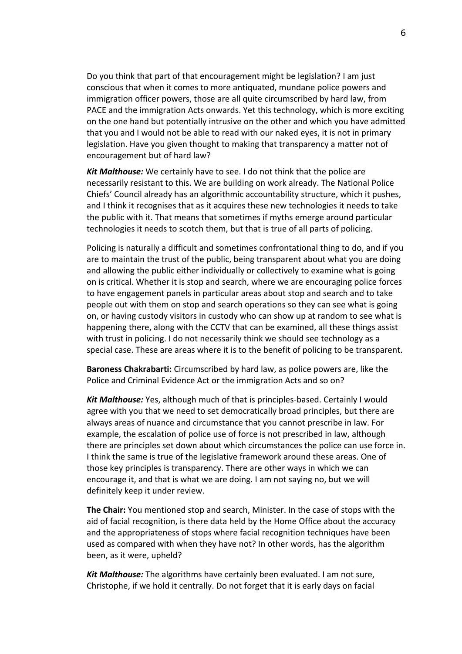Do you think that part of that encouragement might be legislation? I am just conscious that when it comes to more antiquated, mundane police powers and immigration officer powers, those are all quite circumscribed by hard law, from PACE and the immigration Acts onwards. Yet this technology, which is more exciting on the one hand but potentially intrusive on the other and which you have admitted that you and I would not be able to read with our naked eyes, it is not in primary legislation. Have you given thought to making that transparency a matter not of encouragement but of hard law?

*Kit Malthouse:* We certainly have to see. I do not think that the police are necessarily resistant to this. We are building on work already. The National Police Chiefs' Council already has an algorithmic accountability structure, which it pushes, and I think it recognises that as it acquires these new technologies it needs to take the public with it. That means that sometimes if myths emerge around particular technologies it needs to scotch them, but that is true of all parts of policing.

Policing is naturally a difficult and sometimes confrontational thing to do, and if you are to maintain the trust of the public, being transparent about what you are doing and allowing the public either individually or collectively to examine what is going on is critical. Whether it is stop and search, where we are encouraging police forces to have engagement panels in particular areas about stop and search and to take people out with them on stop and search operations so they can see what is going on, or having custody visitors in custody who can show up at random to see what is happening there, along with the CCTV that can be examined, all these things assist with trust in policing. I do not necessarily think we should see technology as a special case. These are areas where it is to the benefit of policing to be transparent.

**Baroness Chakrabarti:** Circumscribed by hard law, as police powers are, like the Police and Criminal Evidence Act or the immigration Acts and so on?

*Kit Malthouse:* Yes, although much of that is principles-based. Certainly I would agree with you that we need to set democratically broad principles, but there are always areas of nuance and circumstance that you cannot prescribe in law. For example, the escalation of police use of force is not prescribed in law, although there are principles set down about which circumstances the police can use force in. I think the same is true of the legislative framework around these areas. One of those key principles is transparency. There are other ways in which we can encourage it, and that is what we are doing. I am not saying no, but we will definitely keep it under review.

**The Chair:** You mentioned stop and search, Minister. In the case of stops with the aid of facial recognition, is there data held by the Home Office about the accuracy and the appropriateness of stops where facial recognition techniques have been used as compared with when they have not? In other words, has the algorithm been, as it were, upheld?

*Kit Malthouse:* The algorithms have certainly been evaluated. I am not sure, Christophe, if we hold it centrally. Do not forget that it is early days on facial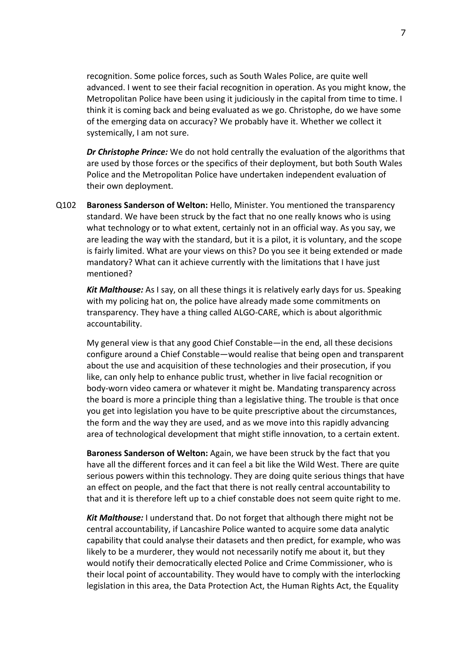recognition. Some police forces, such as South Wales Police, are quite well advanced. I went to see their facial recognition in operation. As you might know, the Metropolitan Police have been using it judiciously in the capital from time to time. I think it is coming back and being evaluated as we go. Christophe, do we have some of the emerging data on accuracy? We probably have it. Whether we collect it systemically, I am not sure.

*Dr Christophe Prince:* We do not hold centrally the evaluation of the algorithms that are used by those forces or the specifics of their deployment, but both South Wales Police and the Metropolitan Police have undertaken independent evaluation of their own deployment.

Q102 **Baroness Sanderson of Welton:** Hello, Minister. You mentioned the transparency standard. We have been struck by the fact that no one really knows who is using what technology or to what extent, certainly not in an official way. As you say, we are leading the way with the standard, but it is a pilot, it is voluntary, and the scope is fairly limited. What are your views on this? Do you see it being extended or made mandatory? What can it achieve currently with the limitations that I have just mentioned?

*Kit Malthouse:* As I say, on all these things it is relatively early days for us. Speaking with my policing hat on, the police have already made some commitments on transparency. They have a thing called ALGO-CARE, which is about algorithmic accountability.

My general view is that any good Chief Constable—in the end, all these decisions configure around a Chief Constable—would realise that being open and transparent about the use and acquisition of these technologies and their prosecution, if you like, can only help to enhance public trust, whether in live facial recognition or body-worn video camera or whatever it might be. Mandating transparency across the board is more a principle thing than a legislative thing. The trouble is that once you get into legislation you have to be quite prescriptive about the circumstances, the form and the way they are used, and as we move into this rapidly advancing area of technological development that might stifle innovation, to a certain extent.

**Baroness Sanderson of Welton:** Again, we have been struck by the fact that you have all the different forces and it can feel a bit like the Wild West. There are quite serious powers within this technology. They are doing quite serious things that have an effect on people, and the fact that there is not really central accountability to that and it is therefore left up to a chief constable does not seem quite right to me.

*Kit Malthouse:* I understand that. Do not forget that although there might not be central accountability, if Lancashire Police wanted to acquire some data analytic capability that could analyse their datasets and then predict, for example, who was likely to be a murderer, they would not necessarily notify me about it, but they would notify their democratically elected Police and Crime Commissioner, who is their local point of accountability. They would have to comply with the interlocking legislation in this area, the Data Protection Act, the Human Rights Act, the Equality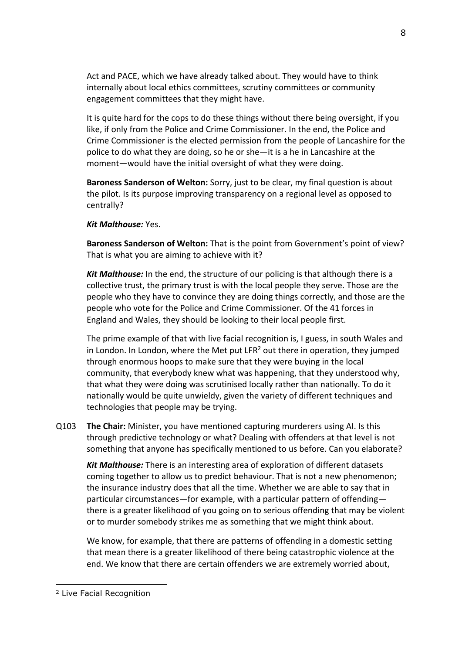Act and PACE, which we have already talked about. They would have to think internally about local ethics committees, scrutiny committees or community engagement committees that they might have.

It is quite hard for the cops to do these things without there being oversight, if you like, if only from the Police and Crime Commissioner. In the end, the Police and Crime Commissioner is the elected permission from the people of Lancashire for the police to do what they are doing, so he or she—it is a he in Lancashire at the moment—would have the initial oversight of what they were doing.

**Baroness Sanderson of Welton:** Sorry, just to be clear, my final question is about the pilot. Is its purpose improving transparency on a regional level as opposed to centrally?

*Kit Malthouse:* Yes.

**Baroness Sanderson of Welton:** That is the point from Government's point of view? That is what you are aiming to achieve with it?

*Kit Malthouse:* In the end, the structure of our policing is that although there is a collective trust, the primary trust is with the local people they serve. Those are the people who they have to convince they are doing things correctly, and those are the people who vote for the Police and Crime Commissioner. Of the 41 forces in England and Wales, they should be looking to their local people first.

The prime example of that with live facial recognition is, I guess, in south Wales and in London. In London, where the Met put LFR<sup>2</sup> out there in operation, they jumped through enormous hoops to make sure that they were buying in the local community, that everybody knew what was happening, that they understood why, that what they were doing was scrutinised locally rather than nationally. To do it nationally would be quite unwieldy, given the variety of different techniques and technologies that people may be trying.

Q103 **The Chair:** Minister, you have mentioned capturing murderers using AI. Is this through predictive technology or what? Dealing with offenders at that level is not something that anyone has specifically mentioned to us before. Can you elaborate?

*Kit Malthouse:* There is an interesting area of exploration of different datasets coming together to allow us to predict behaviour. That is not a new phenomenon; the insurance industry does that all the time. Whether we are able to say that in particular circumstances—for example, with a particular pattern of offending there is a greater likelihood of you going on to serious offending that may be violent or to murder somebody strikes me as something that we might think about.

We know, for example, that there are patterns of offending in a domestic setting that mean there is a greater likelihood of there being catastrophic violence at the end. We know that there are certain offenders we are extremely worried about,

<sup>2</sup> Live Facial Recognition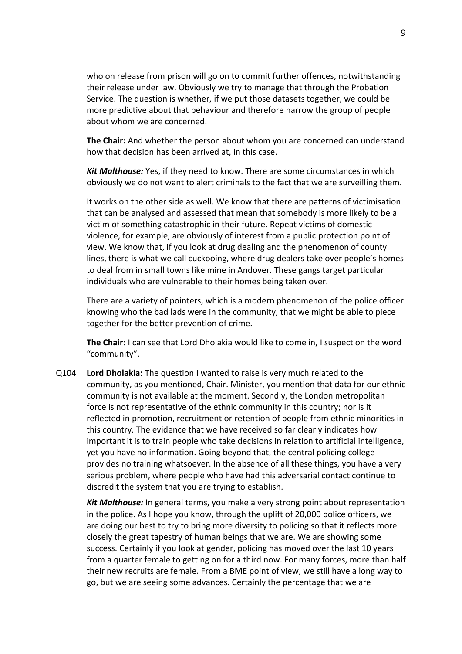who on release from prison will go on to commit further offences, notwithstanding their release under law. Obviously we try to manage that through the Probation Service. The question is whether, if we put those datasets together, we could be more predictive about that behaviour and therefore narrow the group of people about whom we are concerned.

**The Chair:** And whether the person about whom you are concerned can understand how that decision has been arrived at, in this case.

*Kit Malthouse:* Yes, if they need to know. There are some circumstances in which obviously we do not want to alert criminals to the fact that we are surveilling them.

It works on the other side as well. We know that there are patterns of victimisation that can be analysed and assessed that mean that somebody is more likely to be a victim of something catastrophic in their future. Repeat victims of domestic violence, for example, are obviously of interest from a public protection point of view. We know that, if you look at drug dealing and the phenomenon of county lines, there is what we call cuckooing, where drug dealers take over people's homes to deal from in small towns like mine in Andover. These gangs target particular individuals who are vulnerable to their homes being taken over.

There are a variety of pointers, which is a modern phenomenon of the police officer knowing who the bad lads were in the community, that we might be able to piece together for the better prevention of crime.

**The Chair:** I can see that Lord Dholakia would like to come in, I suspect on the word "community".

Q104 **Lord Dholakia:** The question I wanted to raise is very much related to the community, as you mentioned, Chair. Minister, you mention that data for our ethnic community is not available at the moment. Secondly, the London metropolitan force is not representative of the ethnic community in this country; nor is it reflected in promotion, recruitment or retention of people from ethnic minorities in this country. The evidence that we have received so far clearly indicates how important it is to train people who take decisions in relation to artificial intelligence, yet you have no information. Going beyond that, the central policing college provides no training whatsoever. In the absence of all these things, you have a very serious problem, where people who have had this adversarial contact continue to discredit the system that you are trying to establish.

*Kit Malthouse:* In general terms, you make a very strong point about representation in the police. As I hope you know, through the uplift of 20,000 police officers, we are doing our best to try to bring more diversity to policing so that it reflects more closely the great tapestry of human beings that we are. We are showing some success. Certainly if you look at gender, policing has moved over the last 10 years from a quarter female to getting on for a third now. For many forces, more than half their new recruits are female. From a BME point of view, we still have a long way to go, but we are seeing some advances. Certainly the percentage that we are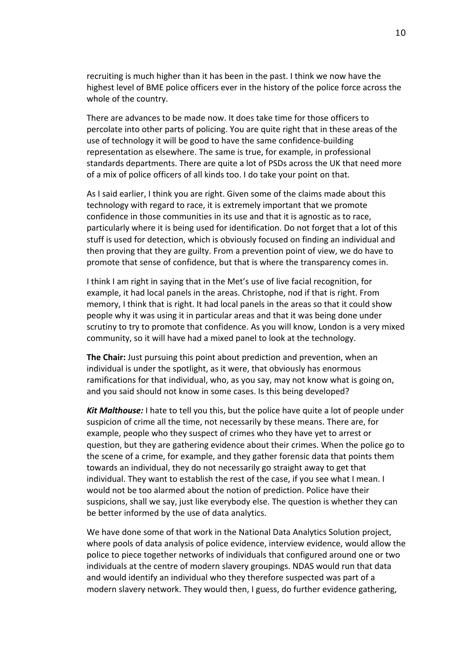recruiting is much higher than it has been in the past. I think we now have the highest level of BME police officers ever in the history of the police force across the whole of the country.

There are advances to be made now. It does take time for those officers to percolate into other parts of policing. You are quite right that in these areas of the use of technology it will be good to have the same confidence-building representation as elsewhere. The same is true, for example, in professional standards departments. There are quite a lot of PSDs across the UK that need more of a mix of police officers of all kinds too. I do take your point on that.

As I said earlier, I think you are right. Given some of the claims made about this technology with regard to race, it is extremely important that we promote confidence in those communities in its use and that it is agnostic as to race, particularly where it is being used for identification. Do not forget that a lot of this stuff is used for detection, which is obviously focused on finding an individual and then proving that they are guilty. From a prevention point of view, we do have to promote that sense of confidence, but that is where the transparency comes in.

I think I am right in saying that in the Met's use of live facial recognition, for example, it had local panels in the areas. Christophe, nod if that is right. From memory, I think that is right. It had local panels in the areas so that it could show people why it was using it in particular areas and that it was being done under scrutiny to try to promote that confidence. As you will know, London is a very mixed community, so it will have had a mixed panel to look at the technology.

**The Chair:** Just pursuing this point about prediction and prevention, when an individual is under the spotlight, as it were, that obviously has enormous ramifications for that individual, who, as you say, may not know what is going on, and you said should not know in some cases. Is this being developed?

*Kit Malthouse:* I hate to tell you this, but the police have quite a lot of people under suspicion of crime all the time, not necessarily by these means. There are, for example, people who they suspect of crimes who they have yet to arrest or question, but they are gathering evidence about their crimes. When the police go to the scene of a crime, for example, and they gather forensic data that points them towards an individual, they do not necessarily go straight away to get that individual. They want to establish the rest of the case, if you see what I mean. I would not be too alarmed about the notion of prediction. Police have their suspicions, shall we say, just like everybody else. The question is whether they can be better informed by the use of data analytics.

We have done some of that work in the National Data Analytics Solution project, where pools of data analysis of police evidence, interview evidence, would allow the police to piece together networks of individuals that configured around one or two individuals at the centre of modern slavery groupings. NDAS would run that data and would identify an individual who they therefore suspected was part of a modern slavery network. They would then, I guess, do further evidence gathering,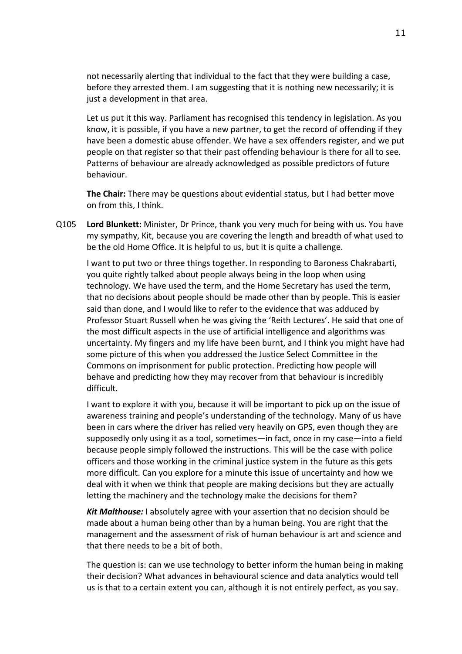not necessarily alerting that individual to the fact that they were building a case, before they arrested them. I am suggesting that it is nothing new necessarily; it is just a development in that area.

Let us put it this way. Parliament has recognised this tendency in legislation. As you know, it is possible, if you have a new partner, to get the record of offending if they have been a domestic abuse offender. We have a sex offenders register, and we put people on that register so that their past offending behaviour is there for all to see. Patterns of behaviour are already acknowledged as possible predictors of future behaviour.

**The Chair:** There may be questions about evidential status, but I had better move on from this, I think.

Q105 **Lord Blunkett:** Minister, Dr Prince, thank you very much for being with us. You have my sympathy, Kit, because you are covering the length and breadth of what used to be the old Home Office. It is helpful to us, but it is quite a challenge.

I want to put two or three things together. In responding to Baroness Chakrabarti, you quite rightly talked about people always being in the loop when using technology. We have used the term, and the Home Secretary has used the term, that no decisions about people should be made other than by people. This is easier said than done, and I would like to refer to the evidence that was adduced by Professor Stuart Russell when he was giving the 'Reith Lectures'. He said that one of the most difficult aspects in the use of artificial intelligence and algorithms was uncertainty. My fingers and my life have been burnt, and I think you might have had some picture of this when you addressed the Justice Select Committee in the Commons on imprisonment for public protection. Predicting how people will behave and predicting how they may recover from that behaviour is incredibly difficult.

I want to explore it with you, because it will be important to pick up on the issue of awareness training and people's understanding of the technology. Many of us have been in cars where the driver has relied very heavily on GPS, even though they are supposedly only using it as a tool, sometimes—in fact, once in my case—into a field because people simply followed the instructions. This will be the case with police officers and those working in the criminal justice system in the future as this gets more difficult. Can you explore for a minute this issue of uncertainty and how we deal with it when we think that people are making decisions but they are actually letting the machinery and the technology make the decisions for them?

*Kit Malthouse:* I absolutely agree with your assertion that no decision should be made about a human being other than by a human being. You are right that the management and the assessment of risk of human behaviour is art and science and that there needs to be a bit of both.

The question is: can we use technology to better inform the human being in making their decision? What advances in behavioural science and data analytics would tell us is that to a certain extent you can, although it is not entirely perfect, as you say.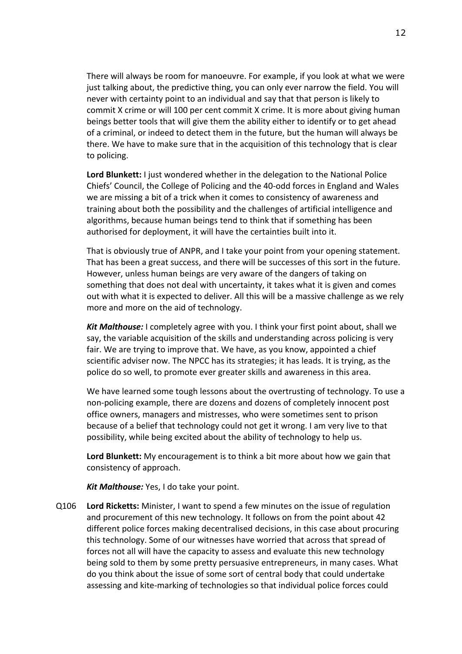There will always be room for manoeuvre. For example, if you look at what we were just talking about, the predictive thing, you can only ever narrow the field. You will never with certainty point to an individual and say that that person is likely to commit X crime or will 100 per cent commit X crime. It is more about giving human beings better tools that will give them the ability either to identify or to get ahead of a criminal, or indeed to detect them in the future, but the human will always be there. We have to make sure that in the acquisition of this technology that is clear to policing.

**Lord Blunkett:** I just wondered whether in the delegation to the National Police Chiefs' Council, the College of Policing and the 40-odd forces in England and Wales we are missing a bit of a trick when it comes to consistency of awareness and training about both the possibility and the challenges of artificial intelligence and algorithms, because human beings tend to think that if something has been authorised for deployment, it will have the certainties built into it.

That is obviously true of ANPR, and I take your point from your opening statement. That has been a great success, and there will be successes of this sort in the future. However, unless human beings are very aware of the dangers of taking on something that does not deal with uncertainty, it takes what it is given and comes out with what it is expected to deliver. All this will be a massive challenge as we rely more and more on the aid of technology.

*Kit Malthouse:* I completely agree with you. I think your first point about, shall we say, the variable acquisition of the skills and understanding across policing is very fair. We are trying to improve that. We have, as you know, appointed a chief scientific adviser now. The NPCC has its strategies; it has leads. It is trying, as the police do so well, to promote ever greater skills and awareness in this area.

We have learned some tough lessons about the overtrusting of technology. To use a non-policing example, there are dozens and dozens of completely innocent post office owners, managers and mistresses, who were sometimes sent to prison because of a belief that technology could not get it wrong. I am very live to that possibility, while being excited about the ability of technology to help us.

**Lord Blunkett:** My encouragement is to think a bit more about how we gain that consistency of approach.

*Kit Malthouse:* Yes, I do take your point.

Q106 **Lord Ricketts:** Minister, I want to spend a few minutes on the issue of regulation and procurement of this new technology. It follows on from the point about 42 different police forces making decentralised decisions, in this case about procuring this technology. Some of our witnesses have worried that across that spread of forces not all will have the capacity to assess and evaluate this new technology being sold to them by some pretty persuasive entrepreneurs, in many cases. What do you think about the issue of some sort of central body that could undertake assessing and kite-marking of technologies so that individual police forces could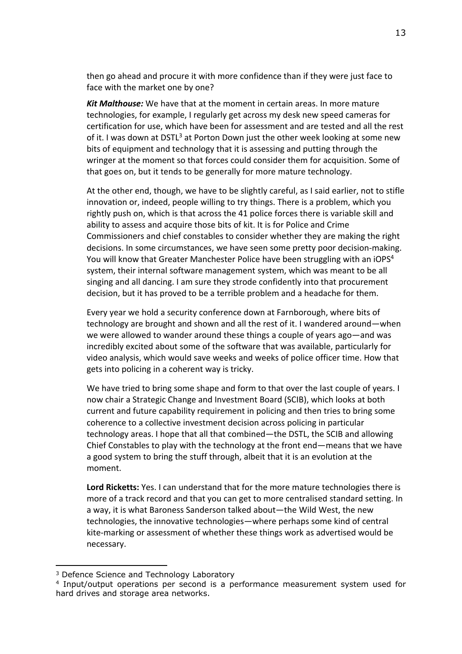then go ahead and procure it with more confidence than if they were just face to face with the market one by one?

*Kit Malthouse:* We have that at the moment in certain areas. In more mature technologies, for example, I regularly get across my desk new speed cameras for certification for use, which have been for assessment and are tested and all the rest of it. I was down at DSTL<sup>3</sup> at Porton Down just the other week looking at some new bits of equipment and technology that it is assessing and putting through the wringer at the moment so that forces could consider them for acquisition. Some of that goes on, but it tends to be generally for more mature technology.

At the other end, though, we have to be slightly careful, as I said earlier, not to stifle innovation or, indeed, people willing to try things. There is a problem, which you rightly push on, which is that across the 41 police forces there is variable skill and ability to assess and acquire those bits of kit. It is for Police and Crime Commissioners and chief constables to consider whether they are making the right decisions. In some circumstances, we have seen some pretty poor decision-making. You will know that Greater Manchester Police have been struggling with an iOPS<sup>4</sup> system, their internal software management system, which was meant to be all singing and all dancing. I am sure they strode confidently into that procurement decision, but it has proved to be a terrible problem and a headache for them.

Every year we hold a security conference down at Farnborough, where bits of technology are brought and shown and all the rest of it. I wandered around—when we were allowed to wander around these things a couple of years ago—and was incredibly excited about some of the software that was available, particularly for video analysis, which would save weeks and weeks of police officer time. How that gets into policing in a coherent way is tricky.

We have tried to bring some shape and form to that over the last couple of years. I now chair a Strategic Change and Investment Board (SCIB), which looks at both current and future capability requirement in policing and then tries to bring some coherence to a collective investment decision across policing in particular technology areas. I hope that all that combined—the DSTL, the SCIB and allowing Chief Constables to play with the technology at the front end—means that we have a good system to bring the stuff through, albeit that it is an evolution at the moment.

**Lord Ricketts:** Yes. I can understand that for the more mature technologies there is more of a track record and that you can get to more centralised standard setting. In a way, it is what Baroness Sanderson talked about—the Wild West, the new technologies, the innovative technologies—where perhaps some kind of central kite-marking or assessment of whether these things work as advertised would be necessary.

<sup>&</sup>lt;sup>3</sup> Defence Science and Technology Laboratory

<sup>4</sup> Input/output operations per second is a performance measurement system used for hard drives and storage area networks.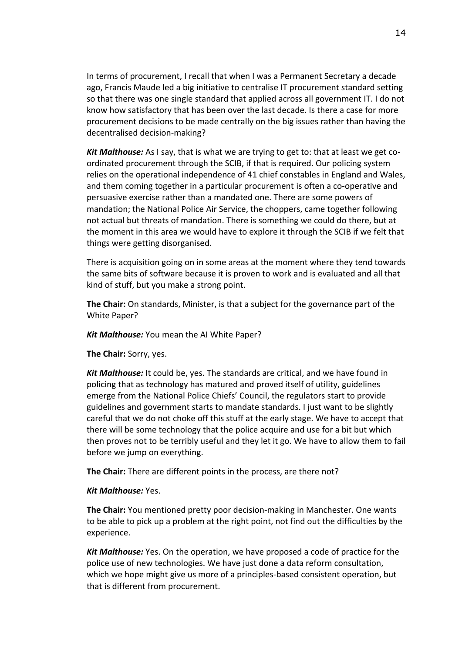In terms of procurement, I recall that when I was a Permanent Secretary a decade ago, Francis Maude led a big initiative to centralise IT procurement standard setting so that there was one single standard that applied across all government IT. I do not know how satisfactory that has been over the last decade. Is there a case for more procurement decisions to be made centrally on the big issues rather than having the decentralised decision-making?

*Kit Malthouse:* As I say, that is what we are trying to get to: that at least we get coordinated procurement through the SCIB, if that is required. Our policing system relies on the operational independence of 41 chief constables in England and Wales, and them coming together in a particular procurement is often a co-operative and persuasive exercise rather than a mandated one. There are some powers of mandation; the National Police Air Service, the choppers, came together following not actual but threats of mandation. There is something we could do there, but at the moment in this area we would have to explore it through the SCIB if we felt that things were getting disorganised.

There is acquisition going on in some areas at the moment where they tend towards the same bits of software because it is proven to work and is evaluated and all that kind of stuff, but you make a strong point.

**The Chair:** On standards, Minister, is that a subject for the governance part of the White Paper?

*Kit Malthouse:* You mean the AI White Paper?

**The Chair:** Sorry, yes.

*Kit Malthouse:* It could be, yes. The standards are critical, and we have found in policing that as technology has matured and proved itself of utility, guidelines emerge from the National Police Chiefs' Council, the regulators start to provide guidelines and government starts to mandate standards. I just want to be slightly careful that we do not choke off this stuff at the early stage. We have to accept that there will be some technology that the police acquire and use for a bit but which then proves not to be terribly useful and they let it go. We have to allow them to fail before we jump on everything.

**The Chair:** There are different points in the process, are there not?

#### *Kit Malthouse:* Yes.

**The Chair:** You mentioned pretty poor decision-making in Manchester. One wants to be able to pick up a problem at the right point, not find out the difficulties by the experience.

*Kit Malthouse:* Yes. On the operation, we have proposed a code of practice for the police use of new technologies. We have just done a data reform consultation, which we hope might give us more of a principles-based consistent operation, but that is different from procurement.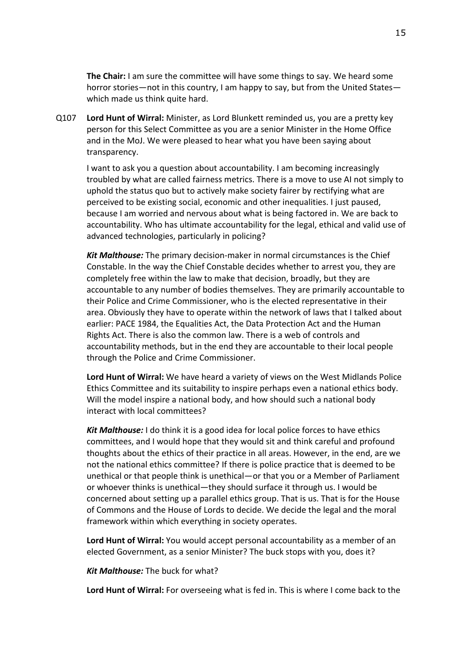**The Chair:** I am sure the committee will have some things to say. We heard some horror stories—not in this country, I am happy to say, but from the United States which made us think quite hard.

Q107 **Lord Hunt of Wirral:** Minister, as Lord Blunkett reminded us, you are a pretty key person for this Select Committee as you are a senior Minister in the Home Office and in the MoJ. We were pleased to hear what you have been saying about transparency.

I want to ask you a question about accountability. I am becoming increasingly troubled by what are called fairness metrics. There is a move to use AI not simply to uphold the status quo but to actively make society fairer by rectifying what are perceived to be existing social, economic and other inequalities. I just paused, because I am worried and nervous about what is being factored in. We are back to accountability. Who has ultimate accountability for the legal, ethical and valid use of advanced technologies, particularly in policing?

*Kit Malthouse:* The primary decision-maker in normal circumstances is the Chief Constable. In the way the Chief Constable decides whether to arrest you, they are completely free within the law to make that decision, broadly, but they are accountable to any number of bodies themselves. They are primarily accountable to their Police and Crime Commissioner, who is the elected representative in their area. Obviously they have to operate within the network of laws that I talked about earlier: PACE 1984, the Equalities Act, the Data Protection Act and the Human Rights Act. There is also the common law. There is a web of controls and accountability methods, but in the end they are accountable to their local people through the Police and Crime Commissioner.

**Lord Hunt of Wirral:** We have heard a variety of views on the West Midlands Police Ethics Committee and its suitability to inspire perhaps even a national ethics body. Will the model inspire a national body, and how should such a national body interact with local committees?

*Kit Malthouse:* I do think it is a good idea for local police forces to have ethics committees, and I would hope that they would sit and think careful and profound thoughts about the ethics of their practice in all areas. However, in the end, are we not the national ethics committee? If there is police practice that is deemed to be unethical or that people think is unethical—or that you or a Member of Parliament or whoever thinks is unethical—they should surface it through us. I would be concerned about setting up a parallel ethics group. That is us. That is for the House of Commons and the House of Lords to decide. We decide the legal and the moral framework within which everything in society operates.

**Lord Hunt of Wirral:** You would accept personal accountability as a member of an elected Government, as a senior Minister? The buck stops with you, does it?

*Kit Malthouse:* The buck for what?

**Lord Hunt of Wirral:** For overseeing what is fed in. This is where I come back to the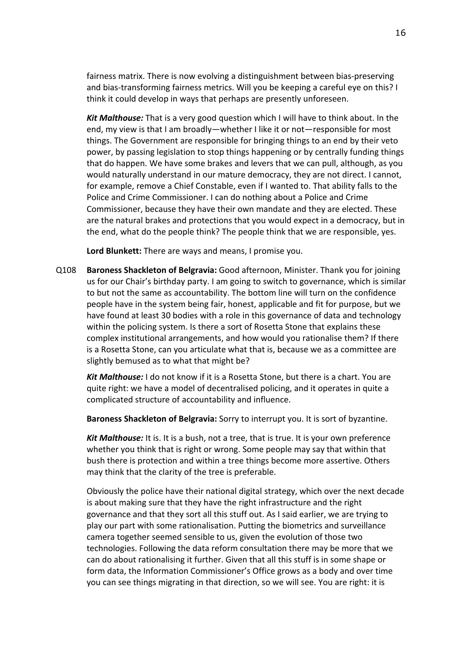fairness matrix. There is now evolving a distinguishment between bias-preserving and bias-transforming fairness metrics. Will you be keeping a careful eye on this? I think it could develop in ways that perhaps are presently unforeseen.

*Kit Malthouse:* That is a very good question which I will have to think about. In the end, my view is that I am broadly—whether I like it or not—responsible for most things. The Government are responsible for bringing things to an end by their veto power, by passing legislation to stop things happening or by centrally funding things that do happen. We have some brakes and levers that we can pull, although, as you would naturally understand in our mature democracy, they are not direct. I cannot, for example, remove a Chief Constable, even if I wanted to. That ability falls to the Police and Crime Commissioner. I can do nothing about a Police and Crime Commissioner, because they have their own mandate and they are elected. These are the natural brakes and protections that you would expect in a democracy, but in the end, what do the people think? The people think that we are responsible, yes.

**Lord Blunkett:** There are ways and means, I promise you.

Q108 **Baroness Shackleton of Belgravia:** Good afternoon, Minister. Thank you for joining us for our Chair's birthday party. I am going to switch to governance, which is similar to but not the same as accountability. The bottom line will turn on the confidence people have in the system being fair, honest, applicable and fit for purpose, but we have found at least 30 bodies with a role in this governance of data and technology within the policing system. Is there a sort of Rosetta Stone that explains these complex institutional arrangements, and how would you rationalise them? If there is a Rosetta Stone, can you articulate what that is, because we as a committee are slightly bemused as to what that might be?

*Kit Malthouse:* I do not know if it is a Rosetta Stone, but there is a chart. You are quite right: we have a model of decentralised policing, and it operates in quite a complicated structure of accountability and influence.

**Baroness Shackleton of Belgravia:** Sorry to interrupt you. It is sort of byzantine.

*Kit Malthouse:* It is. It is a bush, not a tree, that is true. It is your own preference whether you think that is right or wrong. Some people may say that within that bush there is protection and within a tree things become more assertive. Others may think that the clarity of the tree is preferable.

Obviously the police have their national digital strategy, which over the next decade is about making sure that they have the right infrastructure and the right governance and that they sort all this stuff out. As I said earlier, we are trying to play our part with some rationalisation. Putting the biometrics and surveillance camera together seemed sensible to us, given the evolution of those two technologies. Following the data reform consultation there may be more that we can do about rationalising it further. Given that all this stuff is in some shape or form data, the Information Commissioner's Office grows as a body and over time you can see things migrating in that direction, so we will see. You are right: it is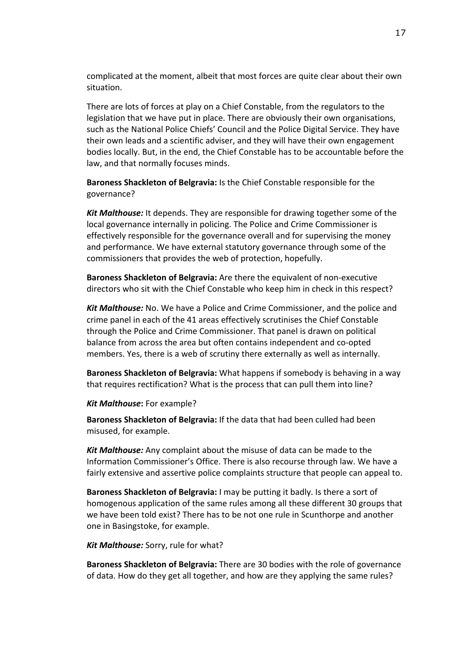complicated at the moment, albeit that most forces are quite clear about their own situation.

There are lots of forces at play on a Chief Constable, from the regulators to the legislation that we have put in place. There are obviously their own organisations, such as the National Police Chiefs' Council and the Police Digital Service. They have their own leads and a scientific adviser, and they will have their own engagement bodies locally. But, in the end, the Chief Constable has to be accountable before the law, and that normally focuses minds.

**Baroness Shackleton of Belgravia:** Is the Chief Constable responsible for the governance?

*Kit Malthouse:* It depends. They are responsible for drawing together some of the local governance internally in policing. The Police and Crime Commissioner is effectively responsible for the governance overall and for supervising the money and performance. We have external statutory governance through some of the commissioners that provides the web of protection, hopefully.

**Baroness Shackleton of Belgravia:** Are there the equivalent of non-executive directors who sit with the Chief Constable who keep him in check in this respect?

*Kit Malthouse:* No. We have a Police and Crime Commissioner, and the police and crime panel in each of the 41 areas effectively scrutinises the Chief Constable through the Police and Crime Commissioner. That panel is drawn on political balance from across the area but often contains independent and co-opted members. Yes, there is a web of scrutiny there externally as well as internally.

**Baroness Shackleton of Belgravia:** What happens if somebody is behaving in a way that requires rectification? What is the process that can pull them into line?

#### *Kit Malthouse***:** For example?

**Baroness Shackleton of Belgravia:** If the data that had been culled had been misused, for example.

*Kit Malthouse:* Any complaint about the misuse of data can be made to the Information Commissioner's Office. There is also recourse through law. We have a fairly extensive and assertive police complaints structure that people can appeal to.

**Baroness Shackleton of Belgravia:** I may be putting it badly. Is there a sort of homogenous application of the same rules among all these different 30 groups that we have been told exist? There has to be not one rule in Scunthorpe and another one in Basingstoke, for example.

#### *Kit Malthouse:* Sorry, rule for what?

**Baroness Shackleton of Belgravia:** There are 30 bodies with the role of governance of data. How do they get all together, and how are they applying the same rules?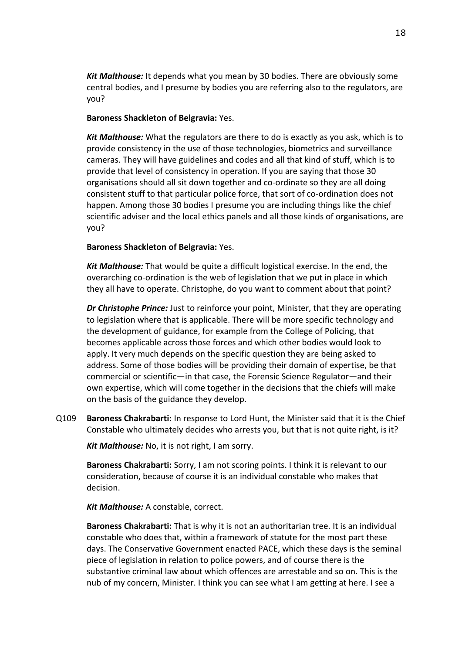*Kit Malthouse:* It depends what you mean by 30 bodies. There are obviously some central bodies, and I presume by bodies you are referring also to the regulators, are you?

# **Baroness Shackleton of Belgravia:** Yes.

*Kit Malthouse:* What the regulators are there to do is exactly as you ask, which is to provide consistency in the use of those technologies, biometrics and surveillance cameras. They will have guidelines and codes and all that kind of stuff, which is to provide that level of consistency in operation. If you are saying that those 30 organisations should all sit down together and co-ordinate so they are all doing consistent stuff to that particular police force, that sort of co-ordination does not happen. Among those 30 bodies I presume you are including things like the chief scientific adviser and the local ethics panels and all those kinds of organisations, are you?

# **Baroness Shackleton of Belgravia:** Yes.

*Kit Malthouse:* That would be quite a difficult logistical exercise. In the end, the overarching co-ordination is the web of legislation that we put in place in which they all have to operate. Christophe, do you want to comment about that point?

*Dr Christophe Prince:* Just to reinforce your point, Minister, that they are operating to legislation where that is applicable. There will be more specific technology and the development of guidance, for example from the College of Policing, that becomes applicable across those forces and which other bodies would look to apply. It very much depends on the specific question they are being asked to address. Some of those bodies will be providing their domain of expertise, be that commercial or scientific—in that case, the Forensic Science Regulator—and their own expertise, which will come together in the decisions that the chiefs will make on the basis of the guidance they develop.

Q109 **Baroness Chakrabarti:** In response to Lord Hunt, the Minister said that it is the Chief Constable who ultimately decides who arrests you, but that is not quite right, is it?

*Kit Malthouse:* No, it is not right, I am sorry.

**Baroness Chakrabarti:** Sorry, I am not scoring points. I think it is relevant to our consideration, because of course it is an individual constable who makes that decision.

*Kit Malthouse:* A constable, correct.

**Baroness Chakrabarti:** That is why it is not an authoritarian tree. It is an individual constable who does that, within a framework of statute for the most part these days. The Conservative Government enacted PACE, which these days is the seminal piece of legislation in relation to police powers, and of course there is the substantive criminal law about which offences are arrestable and so on. This is the nub of my concern, Minister. I think you can see what I am getting at here. I see a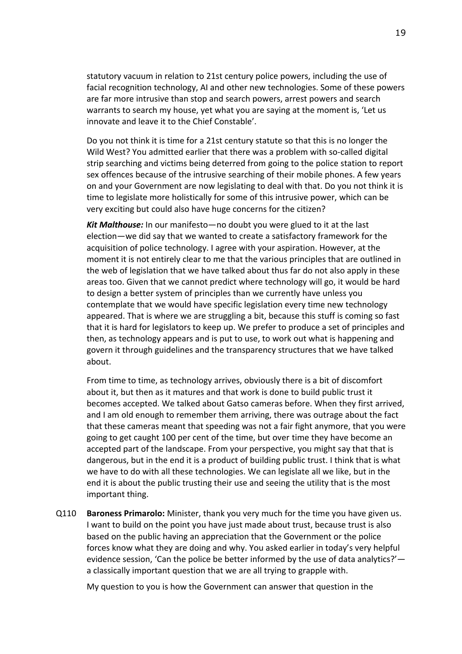statutory vacuum in relation to 21st century police powers, including the use of facial recognition technology, AI and other new technologies. Some of these powers are far more intrusive than stop and search powers, arrest powers and search warrants to search my house, yet what you are saying at the moment is, 'Let us innovate and leave it to the Chief Constable'.

Do you not think it is time for a 21st century statute so that this is no longer the Wild West? You admitted earlier that there was a problem with so-called digital strip searching and victims being deterred from going to the police station to report sex offences because of the intrusive searching of their mobile phones. A few years on and your Government are now legislating to deal with that. Do you not think it is time to legislate more holistically for some of this intrusive power, which can be very exciting but could also have huge concerns for the citizen?

*Kit Malthouse:* In our manifesto—no doubt you were glued to it at the last election—we did say that we wanted to create a satisfactory framework for the acquisition of police technology. I agree with your aspiration. However, at the moment it is not entirely clear to me that the various principles that are outlined in the web of legislation that we have talked about thus far do not also apply in these areas too. Given that we cannot predict where technology will go, it would be hard to design a better system of principles than we currently have unless you contemplate that we would have specific legislation every time new technology appeared. That is where we are struggling a bit, because this stuff is coming so fast that it is hard for legislators to keep up. We prefer to produce a set of principles and then, as technology appears and is put to use, to work out what is happening and govern it through guidelines and the transparency structures that we have talked about.

From time to time, as technology arrives, obviously there is a bit of discomfort about it, but then as it matures and that work is done to build public trust it becomes accepted. We talked about Gatso cameras before. When they first arrived, and I am old enough to remember them arriving, there was outrage about the fact that these cameras meant that speeding was not a fair fight anymore, that you were going to get caught 100 per cent of the time, but over time they have become an accepted part of the landscape. From your perspective, you might say that that is dangerous, but in the end it is a product of building public trust. I think that is what we have to do with all these technologies. We can legislate all we like, but in the end it is about the public trusting their use and seeing the utility that is the most important thing.

Q110 **Baroness Primarolo:** Minister, thank you very much for the time you have given us. I want to build on the point you have just made about trust, because trust is also based on the public having an appreciation that the Government or the police forces know what they are doing and why. You asked earlier in today's very helpful evidence session, 'Can the police be better informed by the use of data analytics?' a classically important question that we are all trying to grapple with.

My question to you is how the Government can answer that question in the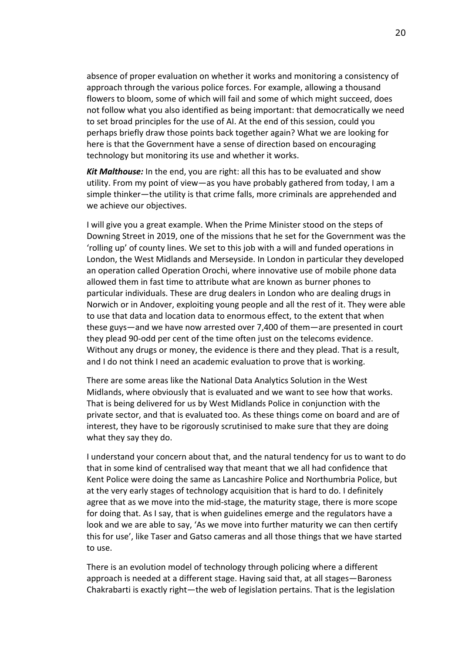absence of proper evaluation on whether it works and monitoring a consistency of approach through the various police forces. For example, allowing a thousand flowers to bloom, some of which will fail and some of which might succeed, does not follow what you also identified as being important: that democratically we need to set broad principles for the use of AI. At the end of this session, could you perhaps briefly draw those points back together again? What we are looking for here is that the Government have a sense of direction based on encouraging technology but monitoring its use and whether it works.

*Kit Malthouse:* In the end, you are right: all this has to be evaluated and show utility. From my point of view—as you have probably gathered from today, I am a simple thinker—the utility is that crime falls, more criminals are apprehended and we achieve our objectives.

I will give you a great example. When the Prime Minister stood on the steps of Downing Street in 2019, one of the missions that he set for the Government was the 'rolling up' of county lines. We set to this job with a will and funded operations in London, the West Midlands and Merseyside. In London in particular they developed an operation called Operation Orochi, where innovative use of mobile phone data allowed them in fast time to attribute what are known as burner phones to particular individuals. These are drug dealers in London who are dealing drugs in Norwich or in Andover, exploiting young people and all the rest of it. They were able to use that data and location data to enormous effect, to the extent that when these guys—and we have now arrested over 7,400 of them—are presented in court they plead 90-odd per cent of the time often just on the telecoms evidence. Without any drugs or money, the evidence is there and they plead. That is a result, and I do not think I need an academic evaluation to prove that is working.

There are some areas like the National Data Analytics Solution in the West Midlands, where obviously that is evaluated and we want to see how that works. That is being delivered for us by West Midlands Police in conjunction with the private sector, and that is evaluated too. As these things come on board and are of interest, they have to be rigorously scrutinised to make sure that they are doing what they say they do.

I understand your concern about that, and the natural tendency for us to want to do that in some kind of centralised way that meant that we all had confidence that Kent Police were doing the same as Lancashire Police and Northumbria Police, but at the very early stages of technology acquisition that is hard to do. I definitely agree that as we move into the mid-stage, the maturity stage, there is more scope for doing that. As I say, that is when guidelines emerge and the regulators have a look and we are able to say, 'As we move into further maturity we can then certify this for use', like Taser and Gatso cameras and all those things that we have started to use.

There is an evolution model of technology through policing where a different approach is needed at a different stage. Having said that, at all stages—Baroness Chakrabarti is exactly right—the web of legislation pertains. That is the legislation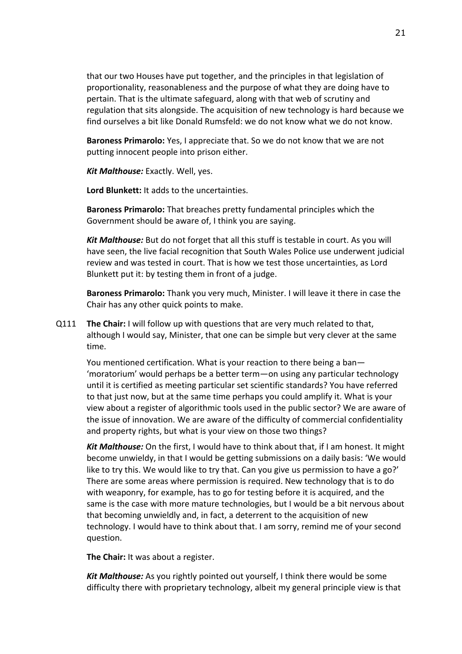that our two Houses have put together, and the principles in that legislation of proportionality, reasonableness and the purpose of what they are doing have to pertain. That is the ultimate safeguard, along with that web of scrutiny and regulation that sits alongside. The acquisition of new technology is hard because we find ourselves a bit like Donald Rumsfeld: we do not know what we do not know.

**Baroness Primarolo:** Yes, I appreciate that. So we do not know that we are not putting innocent people into prison either.

*Kit Malthouse:* Exactly. Well, yes.

**Lord Blunkett:** It adds to the uncertainties.

**Baroness Primarolo:** That breaches pretty fundamental principles which the Government should be aware of, I think you are saying.

*Kit Malthouse:* But do not forget that all this stuff is testable in court. As you will have seen, the live facial recognition that South Wales Police use underwent judicial review and was tested in court. That is how we test those uncertainties, as Lord Blunkett put it: by testing them in front of a judge.

**Baroness Primarolo:** Thank you very much, Minister. I will leave it there in case the Chair has any other quick points to make.

Q111 **The Chair:** I will follow up with questions that are very much related to that, although I would say, Minister, that one can be simple but very clever at the same time.

You mentioned certification. What is your reaction to there being a ban— 'moratorium' would perhaps be a better term—on using any particular technology until it is certified as meeting particular set scientific standards? You have referred to that just now, but at the same time perhaps you could amplify it. What is your view about a register of algorithmic tools used in the public sector? We are aware of the issue of innovation. We are aware of the difficulty of commercial confidentiality and property rights, but what is your view on those two things?

*Kit Malthouse:* On the first, I would have to think about that, if I am honest. It might become unwieldy, in that I would be getting submissions on a daily basis: 'We would like to try this. We would like to try that. Can you give us permission to have a go?' There are some areas where permission is required. New technology that is to do with weaponry, for example, has to go for testing before it is acquired, and the same is the case with more mature technologies, but I would be a bit nervous about that becoming unwieldly and, in fact, a deterrent to the acquisition of new technology. I would have to think about that. I am sorry, remind me of your second question.

**The Chair:** It was about a register.

*Kit Malthouse:* As you rightly pointed out yourself, I think there would be some difficulty there with proprietary technology, albeit my general principle view is that